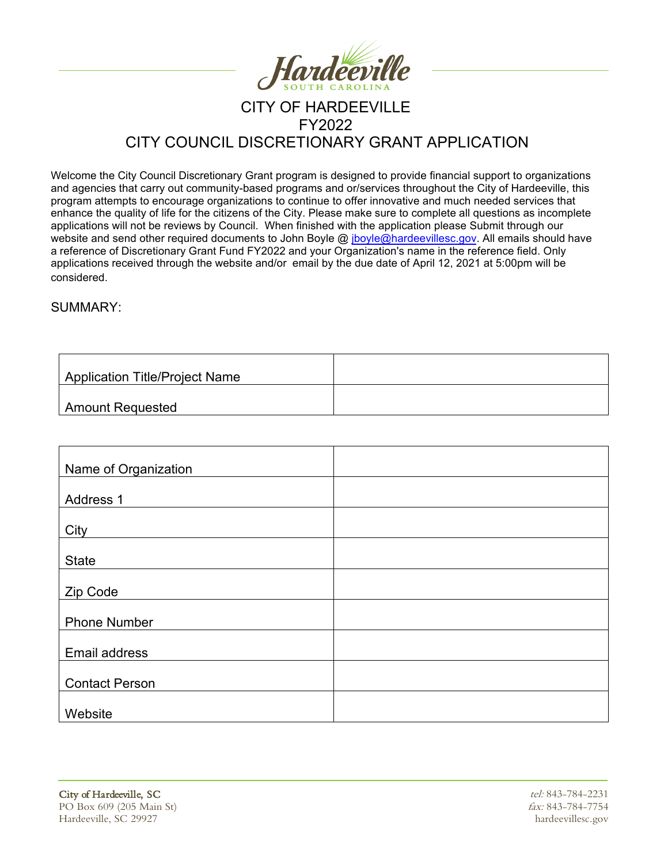

## CITY OF HARDEEVILLE FY2022 CITY COUNCIL DISCRETIONARY GRANT APPLICATION

Welcome the City Council Discretionary Grant program is designed to provide financial support to organizations and agencies that carry out community-based programs and or/services throughout the City of Hardeeville, this program attempts to encourage organizations to continue to offer innovative and much needed services that enhance the quality of life for the citizens of the City. Please make sure to complete all questions as incomplete applications will not be reviews by Council. When finished with the application please Submit through our website and send other required documents to John Boyle @ jboyle@hardeevillesc.gov. All emails should have [a reference of Discretionary Grant Fund FY2022 and your Organization's name in the reference field.](mailto:jboyle@hardeevillesc.gov) Only applications received through the website and/or email by the due date of April 12, 2021 at 5:00pm will be considered.

#### SUMMARY:

| <b>Application Title/Project Name</b> |  |
|---------------------------------------|--|
| <b>Amount Requested</b>               |  |

| Name of Organization  |  |
|-----------------------|--|
| Address 1             |  |
|                       |  |
| City                  |  |
| <b>State</b>          |  |
| Zip Code              |  |
|                       |  |
| <b>Phone Number</b>   |  |
| Email address         |  |
| <b>Contact Person</b> |  |
|                       |  |
| Website               |  |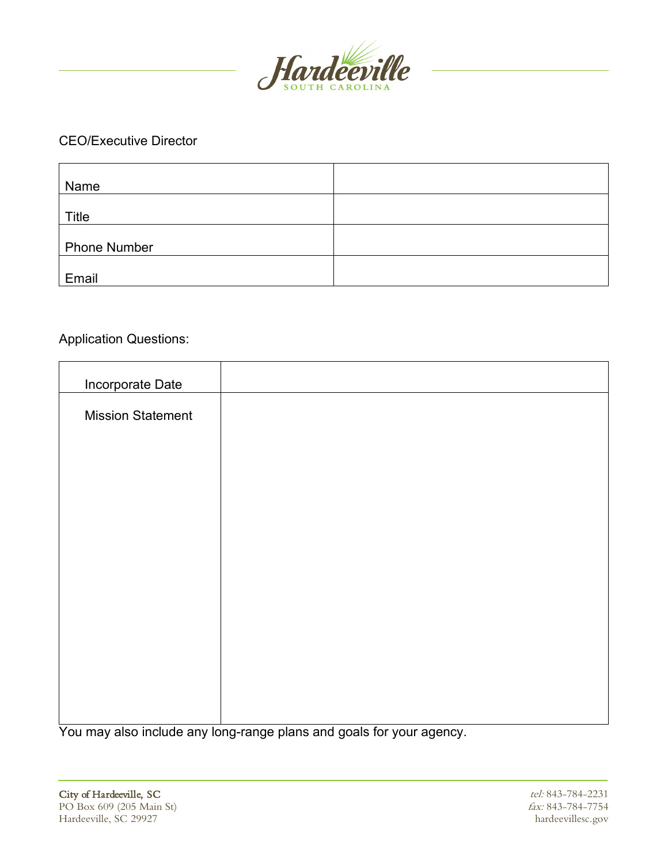

#### CEO/Executive Director

| Name                |  |
|---------------------|--|
|                     |  |
| Title               |  |
|                     |  |
| <b>Phone Number</b> |  |
|                     |  |
| Email               |  |

## Application Questions:

| Incorporate Date         |  |
|--------------------------|--|
| <b>Mission Statement</b> |  |
|                          |  |
|                          |  |
|                          |  |
|                          |  |
|                          |  |
|                          |  |
|                          |  |
|                          |  |
|                          |  |
|                          |  |
|                          |  |

You may also include any long-range plans and goals for your agency.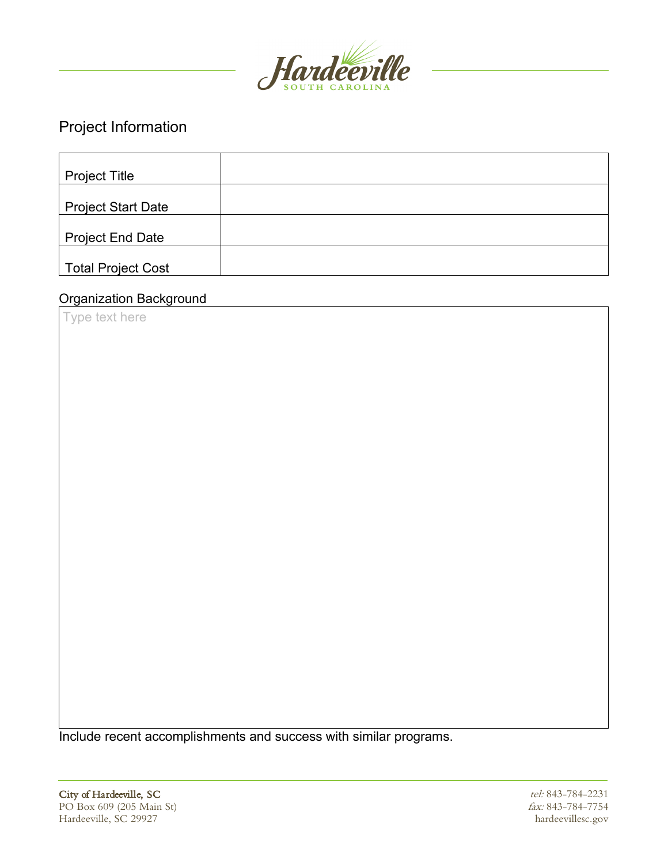

# Project Information

| <b>Project Title</b>      |  |
|---------------------------|--|
| <b>Project Start Date</b> |  |
| <b>Project End Date</b>   |  |
| Total Project Cost        |  |

### Organization Background

Type text here

Include recent accomplishments and success with similar programs.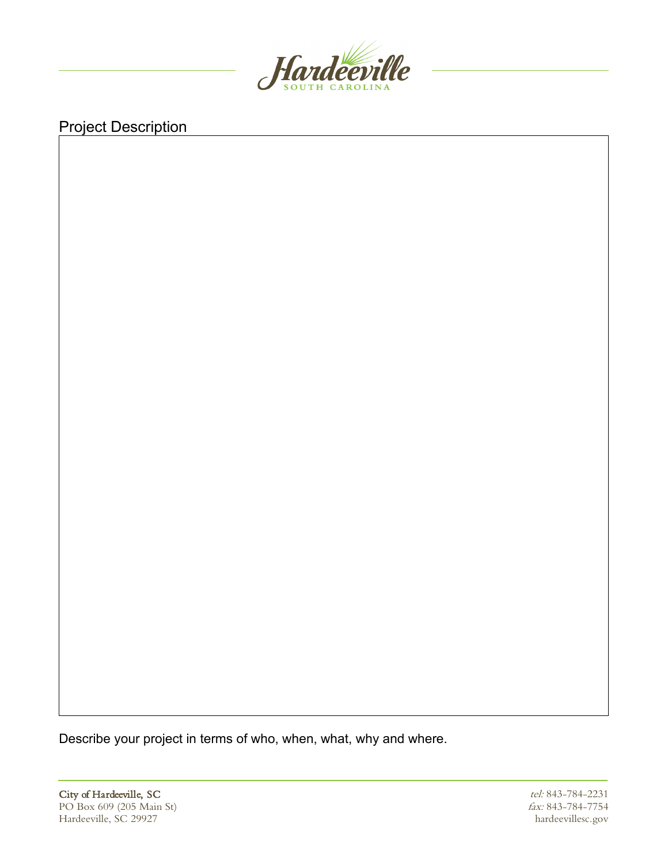

# Project Description

Describe your project in terms of who, when, what, why and where.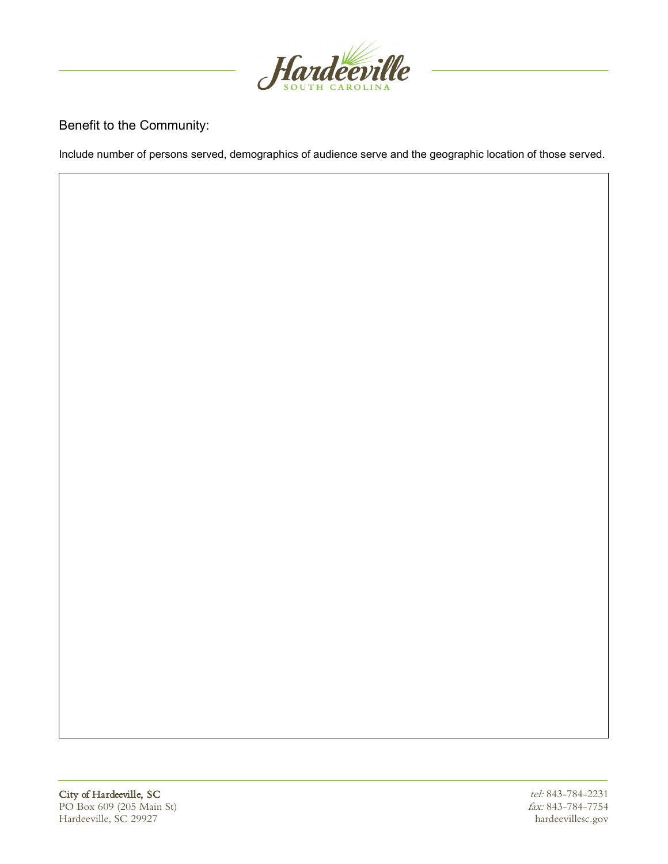

#### Benefit to the Community:

Include number of persons served, demographics of audience serve and the geographic location of those served.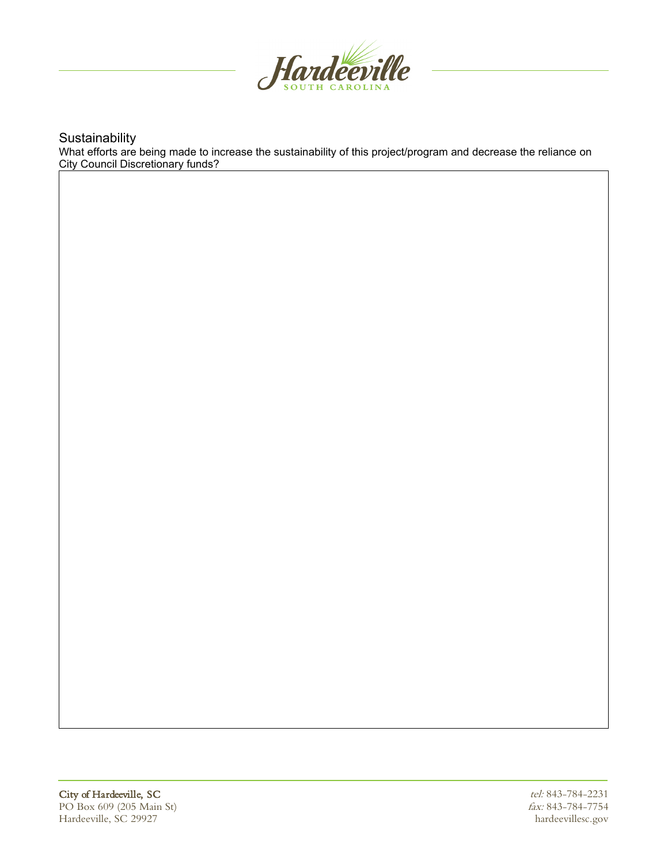

**Sustainability** 

What efforts are being made to increase the sustainability of this project/program and decrease the reliance on City Council Discretionary funds?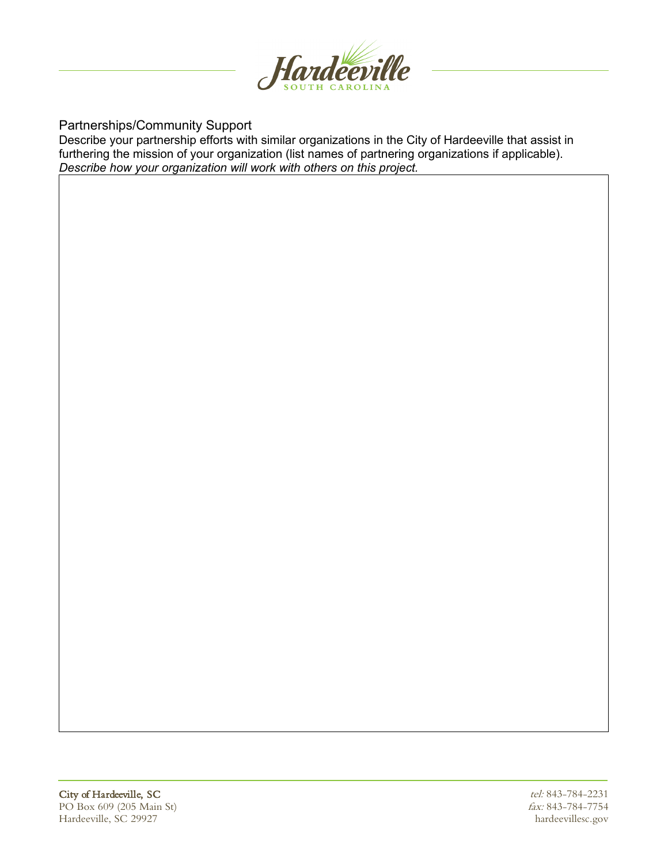

Partnerships/Community Support

Describe your partnership efforts with similar organizations in the City of Hardeeville that assist in furthering the mission of your organization (list names of partnering organizations if applicable). *Describe how your organization will work with others on this project.*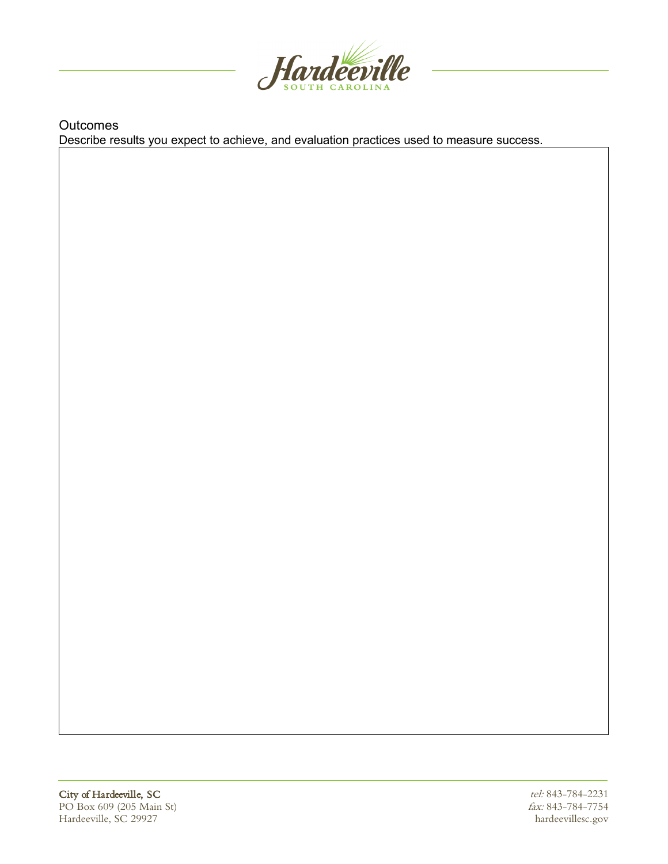

**Outcomes** Describe results you expect to achieve, and evaluation practices used to measure success.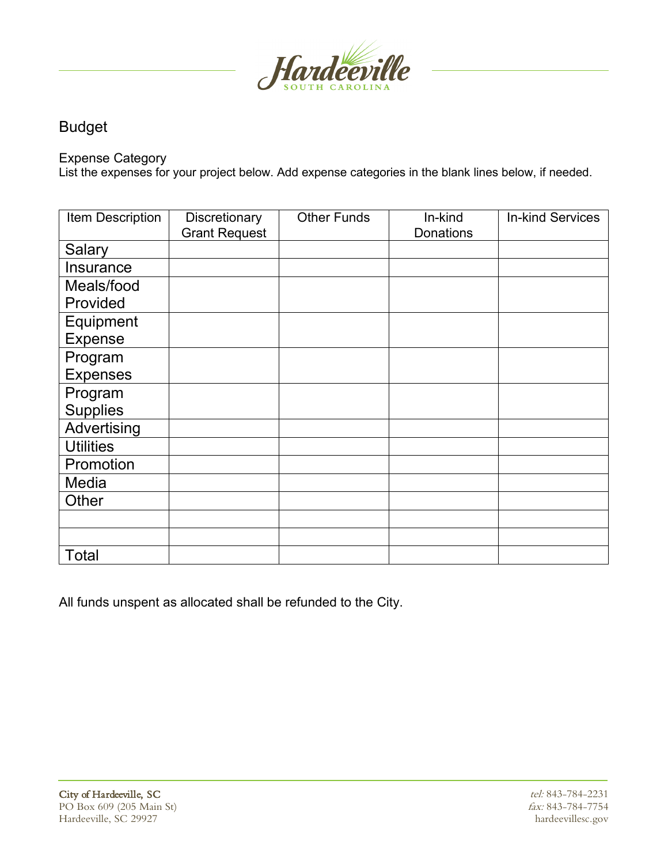

## Budget

Expense Category

List the expenses for your project below. Add expense categories in the blank lines below, if needed.

| Item Description | Discretionary<br><b>Grant Request</b> | <b>Other Funds</b> | In-kind<br><b>Donations</b> | <b>In-kind Services</b> |
|------------------|---------------------------------------|--------------------|-----------------------------|-------------------------|
| Salary           |                                       |                    |                             |                         |
|                  |                                       |                    |                             |                         |
| <b>Insurance</b> |                                       |                    |                             |                         |
| Meals/food       |                                       |                    |                             |                         |
| Provided         |                                       |                    |                             |                         |
| Equipment        |                                       |                    |                             |                         |
| <b>Expense</b>   |                                       |                    |                             |                         |
| Program          |                                       |                    |                             |                         |
| <b>Expenses</b>  |                                       |                    |                             |                         |
| Program          |                                       |                    |                             |                         |
| <b>Supplies</b>  |                                       |                    |                             |                         |
| Advertising      |                                       |                    |                             |                         |
| <b>Utilities</b> |                                       |                    |                             |                         |
| Promotion        |                                       |                    |                             |                         |
| Media            |                                       |                    |                             |                         |
| Other            |                                       |                    |                             |                         |
|                  |                                       |                    |                             |                         |
|                  |                                       |                    |                             |                         |
| <b>Total</b>     |                                       |                    |                             |                         |

All funds unspent as allocated shall be refunded to the City.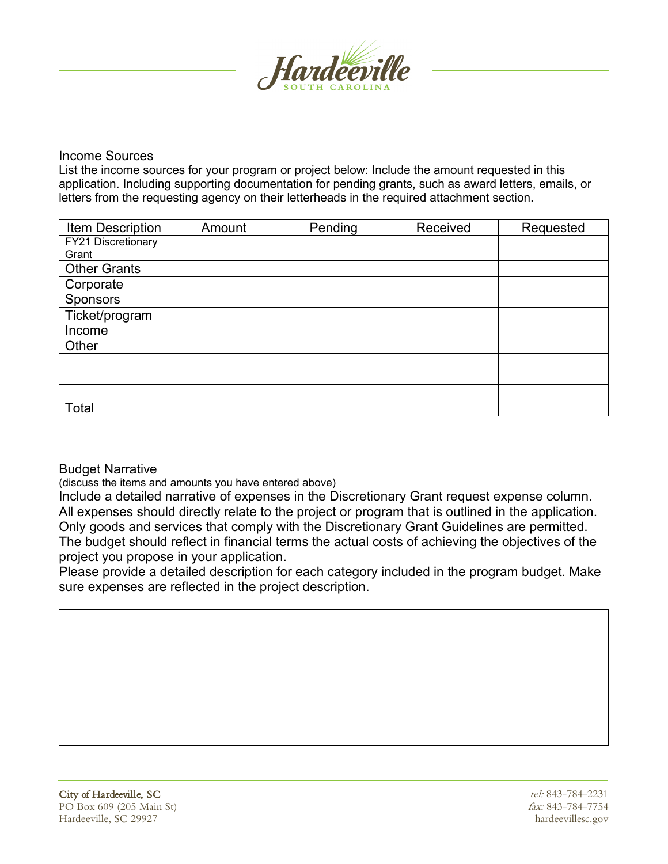

#### Income Sources

List the income sources for your program or project below: Include the amount requested in this application. Including supporting documentation for pending grants, such as award letters, emails, or letters from the requesting agency on their letterheads in the required attachment section.

| Item Description    | Amount | Pending | Received | Requested |
|---------------------|--------|---------|----------|-----------|
| FY21 Discretionary  |        |         |          |           |
| Grant               |        |         |          |           |
| <b>Other Grants</b> |        |         |          |           |
| Corporate           |        |         |          |           |
| Sponsors            |        |         |          |           |
| Ticket/program      |        |         |          |           |
| Income              |        |         |          |           |
| Other               |        |         |          |           |
|                     |        |         |          |           |
|                     |        |         |          |           |
|                     |        |         |          |           |
| Total               |        |         |          |           |

#### Budget Narrative

(discuss the items and amounts you have entered above)

Include a detailed narrative of expenses in the Discretionary Grant request expense column. All expenses should directly relate to the project or program that is outlined in the application. Only goods and services that comply with the Discretionary Grant Guidelines are permitted. The budget should reflect in financial terms the actual costs of achieving the objectives of the project you propose in your application.

Please provide a detailed description for each category included in the program budget. Make sure expenses are reflected in the project description.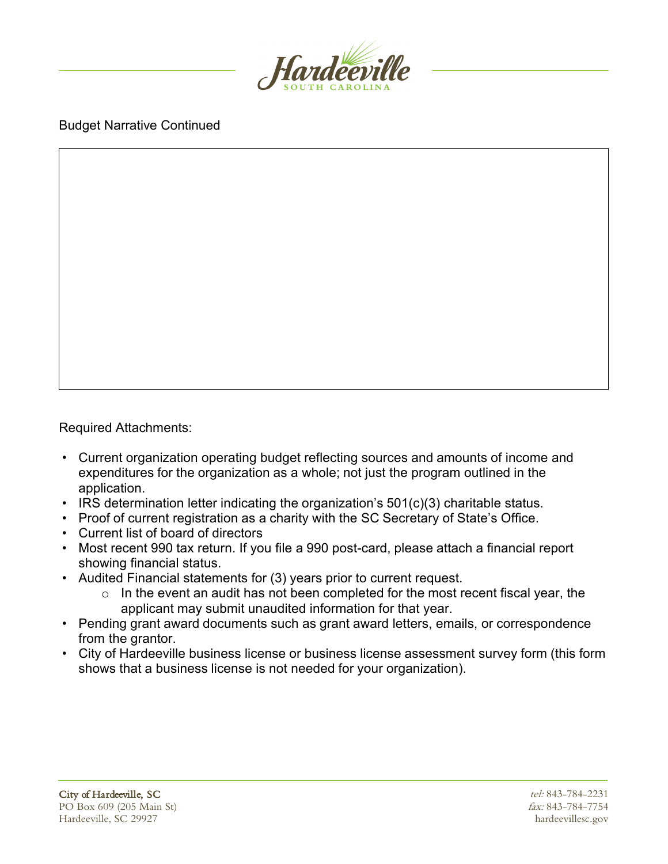

### Budget Narrative Continued

Required Attachments:

- Current organization operating budget reflecting sources and amounts of income and expenditures for the organization as a whole; not just the program outlined in the application.
- IRS determination letter indicating the organization's 501(c)(3) charitable status.
- Proof of current registration as a charity with the SC Secretary of State's Office.
- Current list of board of directors
- Most recent 990 tax return. If you file a 990 post-card, please attach a financial report showing financial status.
- Audited Financial statements for (3) years prior to current request.
	- $\circ$  In the event an audit has not been completed for the most recent fiscal year, the applicant may submit unaudited information for that year.
- Pending grant award documents such as grant award letters, emails, or correspondence from the grantor.
- City of Hardeeville business license or business license assessment survey form (this form shows that a business license is not needed for your organization).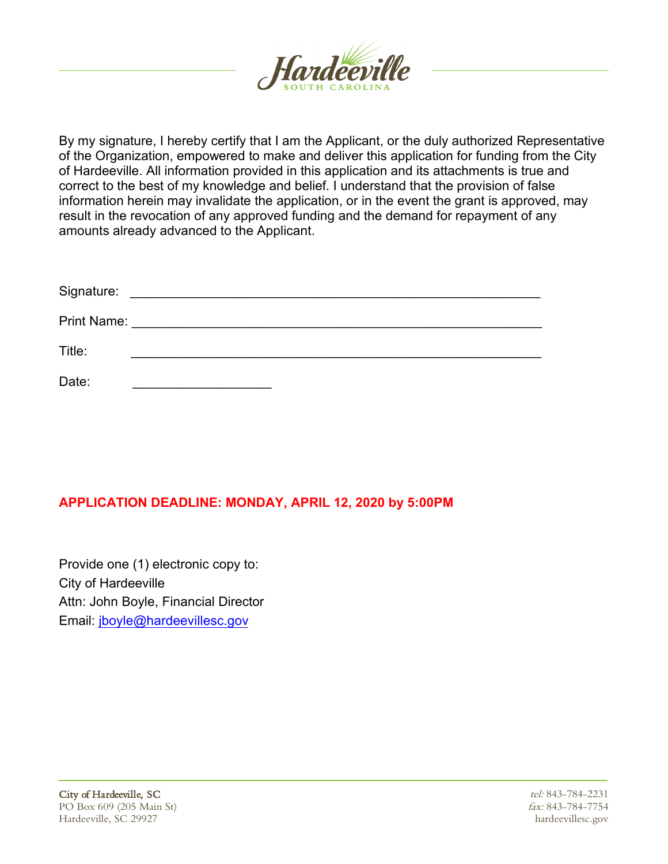

By my signature, I hereby certify that I am the Applicant, or the duly authorized Representative of the Organization, empowered to make and deliver this application for funding from the City of Hardeeville. All information provided in this application and its attachments is true and correct to the best of my knowledge and belief. I understand that the provision of false information herein may invalidate the application, or in the event the grant is approved, may result in the revocation of any approved funding and the demand for repayment of any amounts already advanced to the Applicant.

| Signature: |                                |
|------------|--------------------------------|
|            | <b>Print Name:</b> Print Name: |
| Title:     |                                |
| Date:      |                                |

### **APPLICATION DEADLINE: MONDAY, APRIL 12, 2020 by 5:00PM**

Provide one (1) electronic copy to: City of Hardeeville Attn: John Boyle, Financial Director Email: jboyle@hardeevillesc.gov